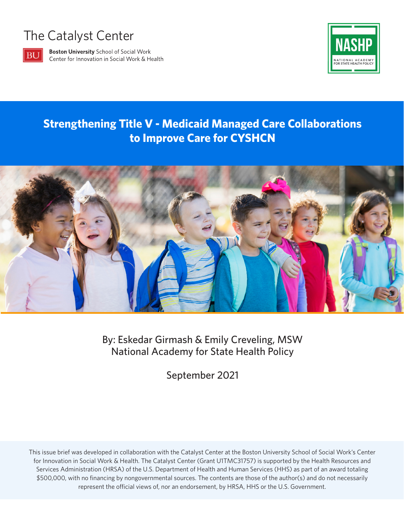# The Catalyst Center



**Boston University School of Social Work** Center for Innovation in Social Work & Health



### **Strengthening Title V - Medicaid Managed Care Collaborations to Improve Care for CYSHCN**



By: Eskedar Girmash & Emily Creveling, MSW National Academy for State Health Policy

September 2021

This issue brief was developed in collaboration with the Catalyst Center at the Boston University School of Social Work's Center for Innovation in Social Work & Health. The Catalyst Center (Grant U1TMC31757) is supported by the Health Resources and Services Administration (HRSA) of the U.S. Department of Health and Human Services (HHS) as part of an award totaling \$500,000, with no financing by nongovernmental sources. The contents are those of the author(s) and do not necessarily represent the official views of, nor an endorsement, by HRSA, HHS or the U.S. Government.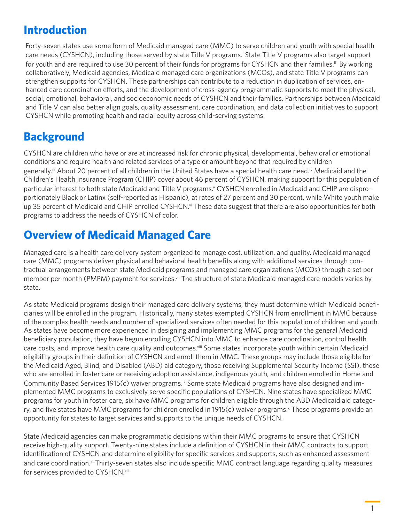### **Introduction**

Forty-seven states use some form of Medicaid managed care (MMC) to serve children and youth with special health care needs (CYSHCN), including those served by state Title V programs.<sup>i</sup> State Title V programs also target support for youth and are required to use 30 percent of their funds for programs for CYSHCN and their families.<sup>ii</sup> By working collaboratively, Medicaid agencies, Medicaid managed care organizations (MCOs), and state Title V programs can strengthen supports for CYSHCN. These partnerships can contribute to a reduction in duplication of services, enhanced care coordination efforts, and the development of cross-agency programmatic supports to meet the physical, social, emotional, behavioral, and socioeconomic needs of CYSHCN and their families. Partnerships between Medicaid and Title V can also better align goals, quality assessment, care coordination, and data collection initiatives to support CYSHCN while promoting health and racial equity across child-serving systems.

# **Background**

CYSHCN are children who have or are at increased risk for chronic physical, developmental, behavioral or emotional conditions and require health and related services of a type or amount beyond that required by children generally.<sup>iii</sup> About 20 percent of all children in the United States have a special health care need.<sup>iv</sup> Medicaid and the Children's Health Insurance Program (CHIP) cover about 46 percent of CYSHCN, making support for this population of particular interest to both state Medicaid and Title V programs.<sup>v</sup> CYSHCN enrolled in Medicaid and CHIP are disproportionately Black or Latinx (self-reported as Hispanic), at rates of 27 percent and 30 percent, while White youth make up 35 percent of Medicaid and CHIP enrolled CYSHCN.<sup>vi</sup> These data suggest that there are also opportunities for both programs to address the needs of CYSHCN of color.

# **Overview of Medicaid Managed Care**

Managed care is a health care delivery system organized to manage cost, utilization, and quality. Medicaid managed care (MMC) programs deliver physical and behavioral health benefits along with additional services through contractual arrangements between state Medicaid programs and managed care organizations (MCOs) through a set per member per month (PMPM) payment for services.<sup>vii</sup> The structure of state Medicaid managed care models varies by state.

As state Medicaid programs design their managed care delivery systems, they must determine which Medicaid beneficiaries will be enrolled in the program. Historically, many states exempted CYSHCN from enrollment in MMC because of the complex health needs and number of specialized services often needed for this population of children and youth. As states have become more experienced in designing and implementing MMC programs for the general Medicaid beneficiary population, they have begun enrolling CYSHCN into MMC to enhance care coordination, control health care costs, and improve health care quality and outcomes.<sup>viii</sup> Some states incorporate youth within certain Medicaid eligibility groups in their definition of CYSHCN and enroll them in MMC. These groups may include those eligible for the Medicaid Aged, Blind, and Disabled (ABD) aid category, those receiving Supplemental Security Income (SSI), those who are enrolled in foster care or receiving adoption assistance, indigenous youth, and children enrolled in Home and Community Based Services 1915(c) waiver programs.ix Some state Medicaid programs have also designed and implemented MMC programs to exclusively serve specific populations of CYSHCN. Nine states have specialized MMC programs for youth in foster care, six have MMC programs for children eligible through the ABD Medicaid aid category, and five states have MMC programs for children enrolled in 1915(c) waiver programs.<sup>x</sup> These programs provide an opportunity for states to target services and supports to the unique needs of CYSHCN.

State Medicaid agencies can make programmatic decisions within their MMC programs to ensure that CYSHCN receive high-quality support. Twenty-nine states include a definition of CYSHCN in their MMC contracts to support identification of CYSHCN and determine eligibility for specific services and supports, such as enhanced assessment and care coordination.<sup>xi</sup> Thirty-seven states also include specific MMC contract language regarding quality measures for services provided to CYSHCN.xii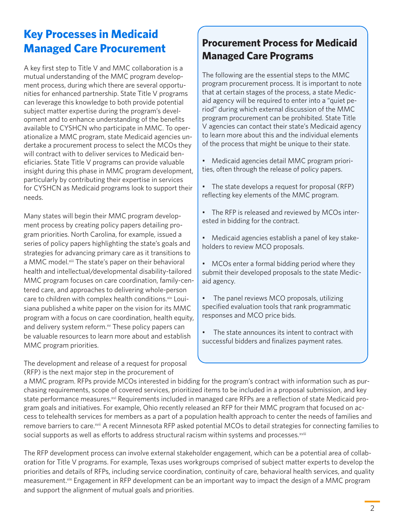### **Key Processes in Medicaid Managed Care Procurement**

A key first step to Title V and MMC collaboration is a mutual understanding of the MMC program development process, during which there are several opportunities for enhanced partnership. State Title V programs can leverage this knowledge to both provide potential subject matter expertise during the program's development and to enhance understanding of the benefits available to CYSHCN who participate in MMC. To operationalize a MMC program, state Medicaid agencies undertake a procurement process to select the MCOs they will contract with to deliver services to Medicaid beneficiaries. State Title V programs can provide valuable insight during this phase in MMC program development, particularly by contributing their expertise in services for CYSHCN as Medicaid programs look to support their needs.

Many states will begin their MMC program development process by creating policy papers detailing program priorities. North Carolina, for example, issued a series of policy papers highlighting the state's goals and strategies for advancing primary care as it transitions to a MMC model.<sup>xiii</sup> The state's paper on their behavioral health and intellectual/developmental disability-tailored MMC program focuses on care coordination, family-centered care, and approaches to delivering whole-person care to children with complex health conditions. Xiv Louisiana published a white paper on the vision for its MMC program with a focus on care coordination, health equity, and delivery system reform.<sup>xv</sup> These policy papers can be valuable resources to learn more about and establish MMC program priorities.

The development and release of a request for proposal (RFP) is the next major step in the procurement of

### **Procurement Process for Medicaid Managed Care Programs**

The following are the essential steps to the MMC program procurement process. It is important to note that at certain stages of the process, a state Medicaid agency will be required to enter into a "quiet period" during which external discussion of the MMC program procurement can be prohibited. State Title V agencies can contact their state's Medicaid agency to learn more about this and the individual elements of the process that might be unique to their state.

- Medicaid agencies detail MMC program priorities, often through the release of policy papers.
- The state develops a request for proposal (RFP) reflecting key elements of the MMC program.
- The RFP is released and reviewed by MCOs interested in bidding for the contract.
- Medicaid agencies establish a panel of key stakeholders to review MCO proposals.

• MCOs enter a formal bidding period where they submit their developed proposals to the state Medicaid agency.

The panel reviews MCO proposals, utilizing specified evaluation tools that rank programmatic responses and MCO price bids.

The state announces its intent to contract with successful bidders and finalizes payment rates.

a MMC program. RFPs provide MCOs interested in bidding for the program's contract with information such as purchasing requirements, scope of covered services, prioritized items to be included in a proposal submission, and key state performance measures.<sup>xvi</sup> Requirements included in managed care RFPs are a reflection of state Medicaid program goals and initiatives. For example, Ohio recently released an RFP for their MMC program that focused on access to telehealth services for members as a part of a population health approach to center the needs of families and remove barriers to care.<sup>xvii</sup> A recent Minnesota RFP asked potential MCOs to detail strategies for connecting families to social supports as well as efforts to address structural racism within systems and processes.<sup>xviii</sup>

The RFP development process can involve external stakeholder engagement, which can be a potential area of collaboration for Title V programs. For example, Texas uses workgroups comprised of subject matter experts to develop the priorities and details of RFPs, including service coordination, continuity of care, behavioral health services, and quality measurement.<sup>xix</sup> Engagement in RFP development can be an important way to impact the design of a MMC program and support the alignment of mutual goals and priorities.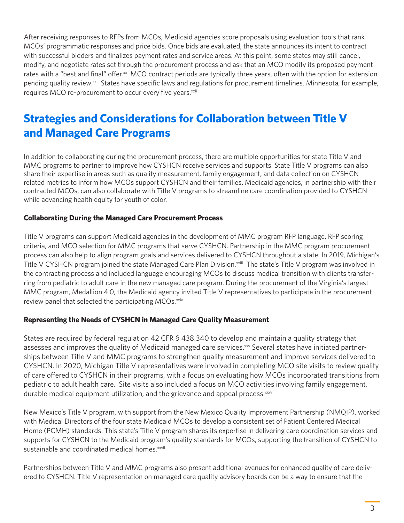After receiving responses to RFPs from MCOs, Medicaid agencies score proposals using evaluation tools that rank MCOs' programmatic responses and price bids. Once bids are evaluated, the state announces its intent to contract with successful bidders and finalizes payment rates and service areas. At this point, some states may still cancel, modify, and negotiate rates set through the procurement process and ask that an MCO modify its proposed payment rates with a "best and final" offer.<sup>xx</sup> MCO contract periods are typically three years, often with the option for extension pending quality review.<sup>xxi</sup> States have specific laws and regulations for procurement timelines. Minnesota, for example, requires MCO re-procurement to occur every five years.<sup>xxii</sup>

# **Strategies and Considerations for Collaboration between Title V and Managed Care Programs**

In addition to collaborating during the procurement process, there are multiple opportunities for state Title V and MMC programs to partner to improve how CYSHCN receive services and supports. State Title V programs can also share their expertise in areas such as quality measurement, family engagement, and data collection on CYSHCN related metrics to inform how MCOs support CYSHCN and their families. Medicaid agencies, in partnership with their contracted MCOs, can also collaborate with Title V programs to streamline care coordination provided to CYSHCN while advancing health equity for youth of color.

#### **Collaborating During the Managed Care Procurement Process**

Title V programs can support Medicaid agencies in the development of MMC program RFP language, RFP scoring criteria, and MCO selection for MMC programs that serve CYSHCN. Partnership in the MMC program procurement process can also help to align program goals and services delivered to CYSHCN throughout a state. In 2019, Michigan's Title V CYSHCN program joined the state Managed Care Plan Division.<sup>xxiii</sup> The state's Title V program was involved in the contracting process and included language encouraging MCOs to discuss medical transition with clients transferring from pediatric to adult care in the new managed care program. During the procurement of the Virginia's largest MMC program, Medallion 4.0, the Medicaid agency invited Title V representatives to participate in the procurement review panel that selected the participating MCOs.<sup>xxiv</sup>

#### **Representing the Needs of CYSHCN in Managed Care Quality Measurement**

States are required by federal regulation 42 CFR § 438.340 to develop and maintain a quality strategy that assesses and improves the quality of Medicaid managed care services.<sup>xxv</sup> Several states have initiated partnerships between Title V and MMC programs to strengthen quality measurement and improve services delivered to CYSHCN. In 2020, Michigan Title V representatives were involved in completing MCO site visits to review quality of care offered to CYSHCN in their programs, with a focus on evaluating how MCOs incorporated transitions from pediatric to adult health care. Site visits also included a focus on MCO activities involving family engagement, durable medical equipment utilization, and the grievance and appeal process.<sup>xxvi</sup>

New Mexico's Title V program, with support from the New Mexico Quality Improvement Partnership (NMQIP), worked with Medical Directors of the four state Medicaid MCOs to develop a consistent set of Patient Centered Medical Home (PCMH) standards. This state's Title V program shares its expertise in delivering care coordination services and supports for CYSHCN to the Medicaid program's quality standards for MCOs, supporting the transition of CYSHCN to sustainable and coordinated medical homes.<sup>xxvii</sup>

Partnerships between Title V and MMC programs also present additional avenues for enhanced quality of care delivered to CYSHCN. Title V representation on managed care quality advisory boards can be a way to ensure that the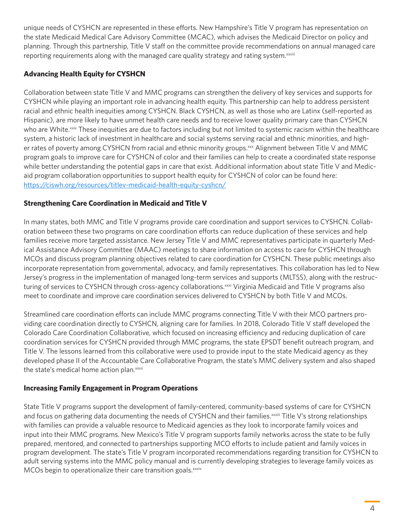unique needs of CYSHCN are represented in these efforts. New Hampshire's Title V program has representation on the state Medicaid Medical Care Advisory Committee (MCAC), which advises the Medicaid Director on policy and planning. Through this partnership, Title V staff on the committee provide recommendations on annual managed care reporting requirements along with the managed care quality strategy and rating system.<sup>xxviii</sup>

#### **Advancing Health Equity for CYSHCN**

Collaboration between state Title V and MMC programs can strengthen the delivery of key services and supports for CYSHCN while playing an important role in advancing health equity. This partnership can help to address persistent racial and ethnic health inequities among CYSHCN. Black CYSHCN, as well as those who are Latinx (self-reported as Hispanic), are more likely to have unmet health care needs and to receive lower quality primary care than CYSHCN who are White.<sup>xxix</sup> These inequities are due to factors including but not limited to systemic racism within the healthcare system, a historic lack of investment in healthcare and social systems serving racial and ethnic minorities, and higher rates of poverty among CYSHCN from racial and ethnic minority groups.xxx Alignment between Title V and MMC program goals to improve care for CYSHCN of color and their families can help to create a coordinated state response while better understanding the potential gaps in care that exist. Additional information about state Title V and Medicaid program collaboration opportunities to support health equity for CYSHCN of color can be found here: <https://ciswh.org/resources/titlev-medicaid-health-equity-cyshcn/>

#### **Strengthening Care Coordination in Medicaid and Title V**

In many states, both MMC and Title V programs provide care coordination and support services to CYSHCN. Collaboration between these two programs on care coordination efforts can reduce duplication of these services and help families receive more targeted assistance. New Jersey Title V and MMC representatives participate in quarterly Medical Assistance Advisory Committee (MAAC) meetings to share information on access to care for CYSHCN through MCOs and discuss program planning objectives related to care coordination for CYSHCN. These public meetings also incorporate representation from governmental, advocacy, and family representatives. This collaboration has led to New Jersey's progress in the implementation of managed long-term services and supports (MLTSS), along with the restructuring of services to CYSHCN through cross-agency collaborations.<sup>xxxi</sup> Virginia Medicaid and Title V programs also meet to coordinate and improve care coordination services delivered to CYSHCN by both Title V and MCOs.

Streamlined care coordination efforts can include MMC programs connecting Title V with their MCO partners providing care coordination directly to CYSHCN, aligning care for families. In 2018, Colorado Title V staff developed the Colorado Care Coordination Collaborative, which focused on increasing efficiency and reducing duplication of care coordination services for CYSHCN provided through MMC programs, the state EPSDT benefit outreach program, and Title V. The lessons learned from this collaborative were used to provide input to the state Medicaid agency as they developed phase II of the Accountable Care Collaborative Program, the state's MMC delivery system and also shaped the state's medical home action plan.xxxii

#### **Increasing Family Engagement in Program Operations**

State Title V programs support the development of family-centered, community-based systems of care for CYSHCN and focus on gathering data documenting the needs of CYSHCN and their families.<sup>xxxiii</sup> Title V's strong relationships with families can provide a valuable resource to Medicaid agencies as they look to incorporate family voices and input into their MMC programs. New Mexico's Title V program supports family networks across the state to be fully prepared, mentored, and connected to partnerships supporting MCO efforts to include patient and family voices in program development. The state's Title V program incorporated recommendations regarding transition for CYSHCN to adult serving systems into the MMC policy manual and is currently developing strategies to leverage family voices as MCOs begin to operationalize their care transition goals.<sup>xxxiv</sup>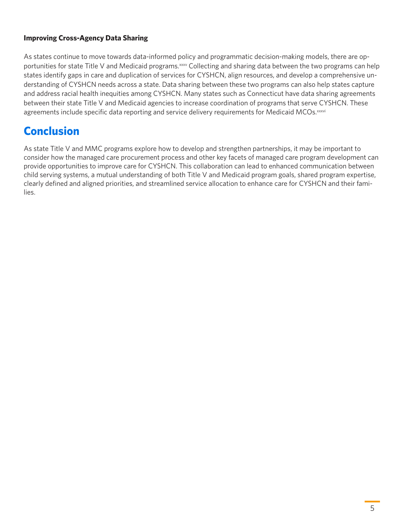#### **Improving Cross-Agency Data Sharing**

As states continue to move towards data-informed policy and programmatic decision-making models, there are opportunities for state Title V and Medicaid programs.<sup>xxxv</sup> Collecting and sharing data between the two programs can help states identify gaps in care and duplication of services for CYSHCN, align resources, and develop a comprehensive understanding of CYSHCN needs across a state. Data sharing between these two programs can also help states capture and address racial health inequities among CYSHCN. Many states such as Connecticut have data sharing agreements between their state Title V and Medicaid agencies to increase coordination of programs that serve CYSHCN. These agreements include specific data reporting and service delivery requirements for Medicaid MCOs. xxxvi

# **Conclusion**

As state Title V and MMC programs explore how to develop and strengthen partnerships, it may be important to consider how the managed care procurement process and other key facets of managed care program development can provide opportunities to improve care for CYSHCN. This collaboration can lead to enhanced communication between child serving systems, a mutual understanding of both Title V and Medicaid program goals, shared program expertise, clearly defined and aligned priorities, and streamlined service allocation to enhance care for CYSHCN and their families.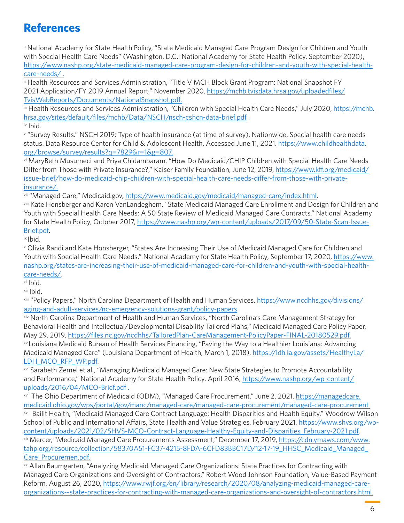### **References**

<sup>i</sup> National Academy for State Health Policy, "State Medicaid Managed Care Program Design for Children and Youth with Special Health Care Needs" (Washington, D.C.: National Academy for State Health Policy, September 2020), [https://www.nashp.org/state-medicaid-managed-care-program-design-for-children-and-youth-with-special-health](https://www.nashp.org/state-medicaid-managed-care-program-design-for-children-and-youth-with-special-health-care-needs/ )[care-needs/ .](https://www.nashp.org/state-medicaid-managed-care-program-design-for-children-and-youth-with-special-health-care-needs/ )

ii Health Resources and Services Administration, "Title V MCH Block Grant Program: National Snapshot FY 2021 Application/FY 2019 Annual Report," November 2020, [https://mchb.tvisdata.hrsa.gov/uploadedfiles/](https://mchb.tvisdata.hrsa.gov/uploadedfiles/TvisWebReports/Documents/NationalSnapshot.pdf) [TvisWebReports/Documents/NationalSnapshot.pdf.](https://mchb.tvisdata.hrsa.gov/uploadedfiles/TvisWebReports/Documents/NationalSnapshot.pdf)

iii Health Resources and Services Administration, "Children with Special Health Care Needs," July 2020, [https://mchb.](https://mchb.hrsa.gov/sites/default/files/mchb/Data/NSCH/nsch-cshcn-data-brief.pdf) [hrsa.gov/sites/default/files/mchb/Data/NSCH/nsch-cshcn-data-brief.pdf](https://mchb.hrsa.gov/sites/default/files/mchb/Data/NSCH/nsch-cshcn-data-brief.pdf) .

iv Ibid.

v "Survey Results." NSCH 2019: Type of health insurance (at time of survey), Nationwide, Special health care needs status. Data Resource Center for Child & Adolescent Health. Accessed June 11, 2021. [https://www.childhealthdata.](https://www.childhealthdata.org/browse/survey/results?q=7829&r=1&g=807) [org/browse/survey/results?q=7829&r=1&g=807.](https://www.childhealthdata.org/browse/survey/results?q=7829&r=1&g=807)

vi MaryBeth Musumeci and Priya Chidambaram, "How Do Medicaid/CHIP Children with Special Health Care Needs Differ from Those with Private Insurance?," Kaiser Family Foundation, June 12, 2019, [https://www.kff.org/medicaid/](https://www.kff.org/medicaid/issue-brief/how-do-medicaid-chip-children-with-special-health-care-needs-differ-from-those-with-private-insurance/) [issue-brief/how-do-medicaid-chip-children-with-special-health-care-needs-differ-from-those-with-private](https://www.kff.org/medicaid/issue-brief/how-do-medicaid-chip-children-with-special-health-care-needs-differ-from-those-with-private-insurance/)[insurance/.](https://www.kff.org/medicaid/issue-brief/how-do-medicaid-chip-children-with-special-health-care-needs-differ-from-those-with-private-insurance/)

vii "Managed Care," Medicaid.gov,<https://www.medicaid.gov/medicaid/managed-care/index.html>.

viii Kate Honsberger and Karen VanLandeghem, "State Medicaid Managed Care Enrollment and Design for Children and Youth with Special Health Care Needs: A 50 State Review of Medicaid Managed Care Contracts," National Academy for State Health Policy, October 2017, [https://www.nashp.org/wp-content/uploads/2017/09/50-State-Scan-Issue-](https://www.nashp.org/wp-content/uploads/2017/09/50-State-Scan-Issue-Brief.pdf)[Brief.pdf.](https://www.nashp.org/wp-content/uploads/2017/09/50-State-Scan-Issue-Brief.pdf)<br>¤ Ibid.

x Olivia Randi and Kate Honsberger, "States Are Increasing Their Use of Medicaid Managed Care for Children and Youth with Special Health Care Needs," National Academy for State Health Policy, September 17, 2020, [https://www.](https://www.nashp.org/states-are-increasing-their-use-of-medicaid-managed-care-for-children-and-youth-with-special-health-care-needs/) [nashp.org/states-are-increasing-their-use-of-medicaid-managed-care-for-children-and-youth-with-special-health](https://www.nashp.org/states-are-increasing-their-use-of-medicaid-managed-care-for-children-and-youth-with-special-health-care-needs/)[care-needs/](https://www.nashp.org/states-are-increasing-their-use-of-medicaid-managed-care-for-children-and-youth-with-special-health-care-needs/).<br><sup>xi</sup> Ibid.

xii Ibid.

xiii "Policy Papers," North Carolina Department of Health and Human Services, [https://www.ncdhhs.gov/divisions/](https://www.ncdhhs.gov/divisions/aging-and-adult-services/nc-emergency-solutions-grant/policy-papers) [aging-and-adult-services/nc-emergency-solutions-grant/policy-papers.](https://www.ncdhhs.gov/divisions/aging-and-adult-services/nc-emergency-solutions-grant/policy-papers)

xiv North Carolina Department of Health and Human Services, "North Carolina's Care Management Strategy for Behavioral Health and Intellectual/Developmental Disability Tailored Plans," Medicaid Managed Care Policy Paper, May 29, 2019,<https://files.nc.gov/ncdhhs/TailoredPlan-CareManagement-PolicyPaper-FINAL-20180529.pdf.> xv Louisiana Medicaid Bureau of Health Services Financing, "Paving the Way to a Healthier Louisiana: Advancing Medicaid Managed Care" (Louisiana Department of Health, March 1, 2018), [https://ldh.la.gov/assets/HealthyLa/](https://ldh.la.gov/assets/HealthyLa/LDH_MCO_RFP_WP.pdf)

[LDH\\_MCO\\_RFP\\_WP.pdf.](https://ldh.la.gov/assets/HealthyLa/LDH_MCO_RFP_WP.pdf)<br><sup>xvi</sup> Sarabeth Zemel et al., "Managing Medicaid Managed Care: New State Strategies to Promote Accountability and Performance," National Academy for State Health Policy, April 2016, [https://www.nashp.org/wp-content/](https://www.nashp.org/wp-content/uploads/2016/04/MCO-Brief.pdf) [uploads/2016/04/MCO-Brief.pdf](https://www.nashp.org/wp-content/uploads/2016/04/MCO-Brief.pdf) .

xvii The Ohio Department of Medicaid (ODM), "Managed Care Procurement," June 2, 2021, [https://managedcare.](https://managedcare.medicaid.ohio.gov/wps/portal/gov/manc/managed-care/managed-care-procurement/managed-care-procurement) [medicaid.ohio.gov/wps/portal/gov/manc/managed-care/managed-care-procurement/managed-care-procurement](https://managedcare.medicaid.ohio.gov/wps/portal/gov/manc/managed-care/managed-care-procurement/managed-care-procurement) 

xviii Bailit Health, "Medicaid Managed Care Contract Language: Health Disparities and Health Equity," Woodrow Wilson School of Public and International Affairs, State Health and Value Strategies, February 2021, [https://www.shvs.org/wp](https://www.shvs.org/wp-content/uploads/2021/02/SHVS-MCO-Contract-Language-Healthy-Equity-and-Disparities_February-2021.pdf)[content/uploads/2021/02/SHVS-MCO-Contract-Language-Healthy-Equity-and-Disparities\\_February-2021.pdf.](https://www.shvs.org/wp-content/uploads/2021/02/SHVS-MCO-Contract-Language-Healthy-Equity-and-Disparities_February-2021.pdf)xix Mercer, "Medicaid Managed Care Procurements Assessment," December 17, 2019, [https://cdn.ymaws.com/www.](https://cdn.ymaws.com/www.tahp.org/resource/collection/58370A51-FC37-4215-8FDA-6CFD83BBC17D/12-17-19_HHSC_Medicaid_Managed_Care_Procuremen.pdf) [tahp.org/resource/collection/58370A51-FC37-4215-8FDA-6CFD83BBC17D/12-17-19\\_HHSC\\_Medicaid\\_Managed\\_](https://cdn.ymaws.com/www.tahp.org/resource/collection/58370A51-FC37-4215-8FDA-6CFD83BBC17D/12-17-19_HHSC_Medicaid_Managed_Care_Procuremen.pdf) [Care\\_Procuremen.pdf.](https://cdn.ymaws.com/www.tahp.org/resource/collection/58370A51-FC37-4215-8FDA-6CFD83BBC17D/12-17-19_HHSC_Medicaid_Managed_Care_Procuremen.pdf)

xx Allan Baumgarten, "Analyzing Medicaid Managed Care Organizations: State Practices for Contracting with Managed Care Organizations and Oversight of Contractors," Robert Wood Johnson Foundation, Value-Based Payment Reform, August 26, 2020, [https://www.rwjf.org/en/library/research/2020/08/analyzing-medicaid-managed-care](https://www.rwjf.org/en/library/research/2020/08/analyzing-medicaid-managed-care-organizations--state-practices-for-contracting-with-managed-care-organizations-and-oversight-of-contractors.html.)[organizations--state-practices-for-contracting-with-managed-care-organizations-and-oversight-of-contractors.html.](https://www.rwjf.org/en/library/research/2020/08/analyzing-medicaid-managed-care-organizations--state-practices-for-contracting-with-managed-care-organizations-and-oversight-of-contractors.html.)